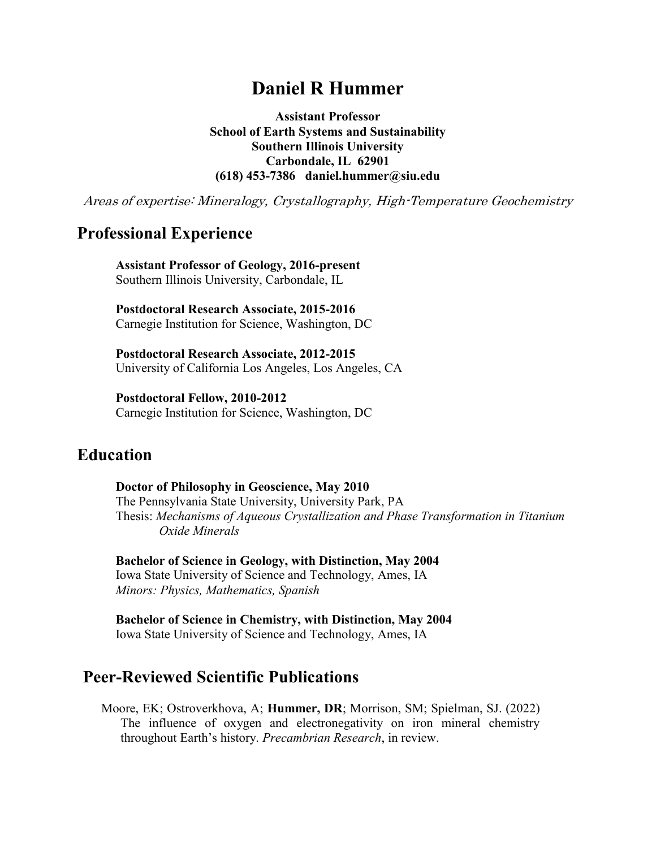# **Daniel R Hummer**

**Assistant Professor School of Earth Systems and Sustainability Southern Illinois University Carbondale, IL 62901 (618) 453-7386 daniel.hummer@siu.edu**

Areas of expertise: Mineralogy, Crystallography, High-Temperature Geochemistry

# **Professional Experience**

**Assistant Professor of Geology, 2016-present** Southern Illinois University, Carbondale, IL

**Postdoctoral Research Associate, 2015-2016** Carnegie Institution for Science, Washington, DC

**Postdoctoral Research Associate, 2012-2015** University of California Los Angeles, Los Angeles, CA

**Postdoctoral Fellow, 2010-2012** Carnegie Institution for Science, Washington, DC

# **Education**

**Doctor of Philosophy in Geoscience, May 2010** The Pennsylvania State University, University Park, PA Thesis: *Mechanisms of Aqueous Crystallization and Phase Transformation in Titanium Oxide Minerals*

**Bachelor of Science in Geology, with Distinction, May 2004** Iowa State University of Science and Technology, Ames, IA *Minors: Physics, Mathematics, Spanish*

**Bachelor of Science in Chemistry, with Distinction, May 2004** Iowa State University of Science and Technology, Ames, IA

## **Peer-Reviewed Scientific Publications**

Moore, EK; Ostroverkhova, A; **Hummer, DR**; Morrison, SM; Spielman, SJ. (2022) The influence of oxygen and electronegativity on iron mineral chemistry throughout Earth's history. *Precambrian Research*, in review.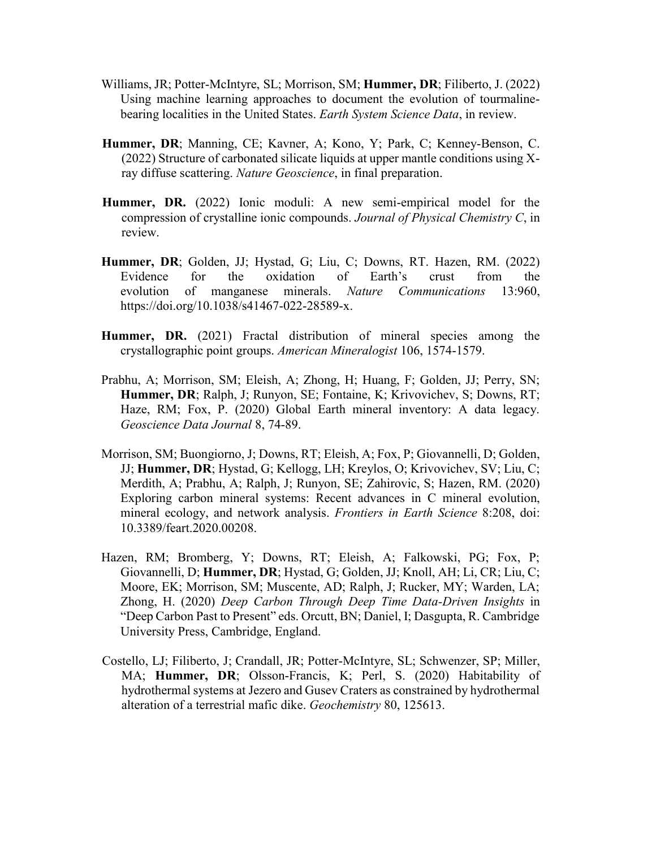- Williams, JR; Potter-McIntyre, SL; Morrison, SM; **Hummer, DR**; Filiberto, J. (2022) Using machine learning approaches to document the evolution of tourmalinebearing localities in the United States. *Earth System Science Data*, in review.
- **Hummer, DR**; Manning, CE; Kavner, A; Kono, Y; Park, C; Kenney-Benson, C. (2022) Structure of carbonated silicate liquids at upper mantle conditions using Xray diffuse scattering. *Nature Geoscience*, in final preparation.
- **Hummer, DR.** (2022) Ionic moduli: A new semi-empirical model for the compression of crystalline ionic compounds. *Journal of Physical Chemistry C*, in review.
- **Hummer, DR**; Golden, JJ; Hystad, G; Liu, C; Downs, RT. Hazen, RM. (2022) Evidence for the oxidation of Earth's crust from the evolution of manganese minerals. *Nature Communications* 13:960, https://doi.org/10.1038/s41467-022-28589-x.
- **Hummer, DR.** (2021) Fractal distribution of mineral species among the crystallographic point groups. *American Mineralogist* 106, 1574-1579.
- Prabhu, A; Morrison, SM; Eleish, A; Zhong, H; Huang, F; Golden, JJ; Perry, SN; **Hummer, DR**; Ralph, J; Runyon, SE; Fontaine, K; Krivovichev, S; Downs, RT; Haze, RM; Fox, P. (2020) Global Earth mineral inventory: A data legacy. *Geoscience Data Journal* 8, 74-89.
- Morrison, SM; Buongiorno, J; Downs, RT; Eleish, A; Fox, P; Giovannelli, D; Golden, JJ; **Hummer, DR**; Hystad, G; Kellogg, LH; Kreylos, O; Krivovichev, SV; Liu, C; Merdith, A; Prabhu, A; Ralph, J; Runyon, SE; Zahirovic, S; Hazen, RM. (2020) Exploring carbon mineral systems: Recent advances in C mineral evolution, mineral ecology, and network analysis. *Frontiers in Earth Science* 8:208, doi: 10.3389/feart.2020.00208.
- Hazen, RM; Bromberg, Y; Downs, RT; Eleish, A; Falkowski, PG; Fox, P; Giovannelli, D; **Hummer, DR**; Hystad, G; Golden, JJ; Knoll, AH; Li, CR; Liu, C; Moore, EK; Morrison, SM; Muscente, AD; Ralph, J; Rucker, MY; Warden, LA; Zhong, H. (2020) *Deep Carbon Through Deep Time Data-Driven Insights* in "Deep Carbon Past to Present" eds. Orcutt, BN; Daniel, I; Dasgupta, R. Cambridge University Press, Cambridge, England.
- Costello, LJ; Filiberto, J; Crandall, JR; Potter-McIntyre, SL; Schwenzer, SP; Miller, MA; **Hummer, DR**; Olsson-Francis, K; Perl, S. (2020) Habitability of hydrothermal systems at Jezero and Gusev Craters as constrained by hydrothermal alteration of a terrestrial mafic dike. *Geochemistry* 80, 125613.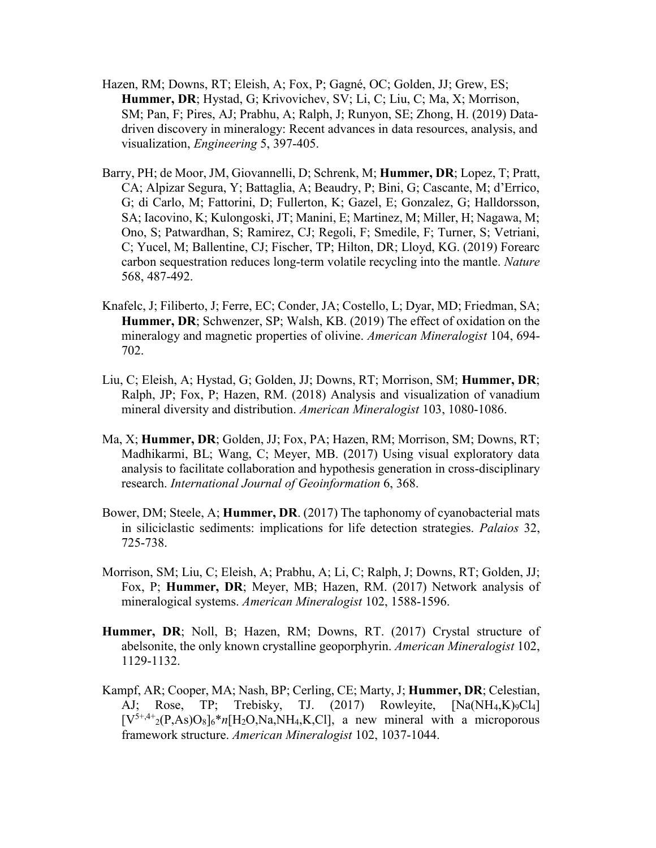- Hazen, RM; Downs, RT; Eleish, A; Fox, P; Gagné, OC; Golden, JJ; Grew, ES; **Hummer, DR**; Hystad, G; Krivovichev, SV; Li, C; Liu, C; Ma, X; Morrison, SM; Pan, F; Pires, AJ; Prabhu, A; Ralph, J; Runyon, SE; Zhong, H. (2019) Datadriven discovery in mineralogy: Recent advances in data resources, analysis, and visualization, *Engineering* 5, 397-405.
- Barry, PH; de Moor, JM, Giovannelli, D; Schrenk, M; **Hummer, DR**; Lopez, T; Pratt, CA; Alpizar Segura, Y; Battaglia, A; Beaudry, P; Bini, G; Cascante, M; d'Errico, G; di Carlo, M; Fattorini, D; Fullerton, K; Gazel, E; Gonzalez, G; Halldorsson, SA; Iacovino, K; Kulongoski, JT; Manini, E; Martinez, M; Miller, H; Nagawa, M; Ono, S; Patwardhan, S; Ramirez, CJ; Regoli, F; Smedile, F; Turner, S; Vetriani, C; Yucel, M; Ballentine, CJ; Fischer, TP; Hilton, DR; Lloyd, KG. (2019) Forearc carbon sequestration reduces long-term volatile recycling into the mantle. *Nature* 568, 487-492.
- Knafelc, J; Filiberto, J; Ferre, EC; Conder, JA; Costello, L; Dyar, MD; Friedman, SA; **Hummer, DR**; Schwenzer, SP; Walsh, KB. (2019) The effect of oxidation on the mineralogy and magnetic properties of olivine. *American Mineralogist* 104, 694- 702.
- Liu, C; Eleish, A; Hystad, G; Golden, JJ; Downs, RT; Morrison, SM; **Hummer, DR**; Ralph, JP; Fox, P; Hazen, RM. (2018) Analysis and visualization of vanadium mineral diversity and distribution. *American Mineralogist* 103, 1080-1086.
- Ma, X; **Hummer, DR**; Golden, JJ; Fox, PA; Hazen, RM; Morrison, SM; Downs, RT; Madhikarmi, BL; Wang, C; Meyer, MB. (2017) Using visual exploratory data analysis to facilitate collaboration and hypothesis generation in cross-disciplinary research. *International Journal of Geoinformation* 6, 368.
- Bower, DM; Steele, A; **Hummer, DR**. (2017) The taphonomy of cyanobacterial mats in siliciclastic sediments: implications for life detection strategies. *Palaios* 32, 725-738.
- Morrison, SM; Liu, C; Eleish, A; Prabhu, A; Li, C; Ralph, J; Downs, RT; Golden, JJ; Fox, P; **Hummer, DR**; Meyer, MB; Hazen, RM. (2017) Network analysis of mineralogical systems. *American Mineralogist* 102, 1588-1596.
- **Hummer, DR**; Noll, B; Hazen, RM; Downs, RT. (2017) Crystal structure of abelsonite, the only known crystalline geoporphyrin. *American Mineralogist* 102, 1129-1132.
- Kampf, AR; Cooper, MA; Nash, BP; Cerling, CE; Marty, J; **Hummer, DR**; Celestian, AJ; Rose, TP; Trebisky, TJ. (2017) Rowleyite, [Na(NH<sub>4</sub>,K)<sub>9</sub>Cl<sub>4</sub>]  $[V<sup>5+,4+</sup><sub>2</sub>(P,As)O<sub>8</sub>]<sub>6</sub>**n*[H<sub>2</sub>O,Na,NH<sub>4</sub>,K,C1],$  a new mineral with a microporous framework structure. *American Mineralogist* 102, 1037-1044.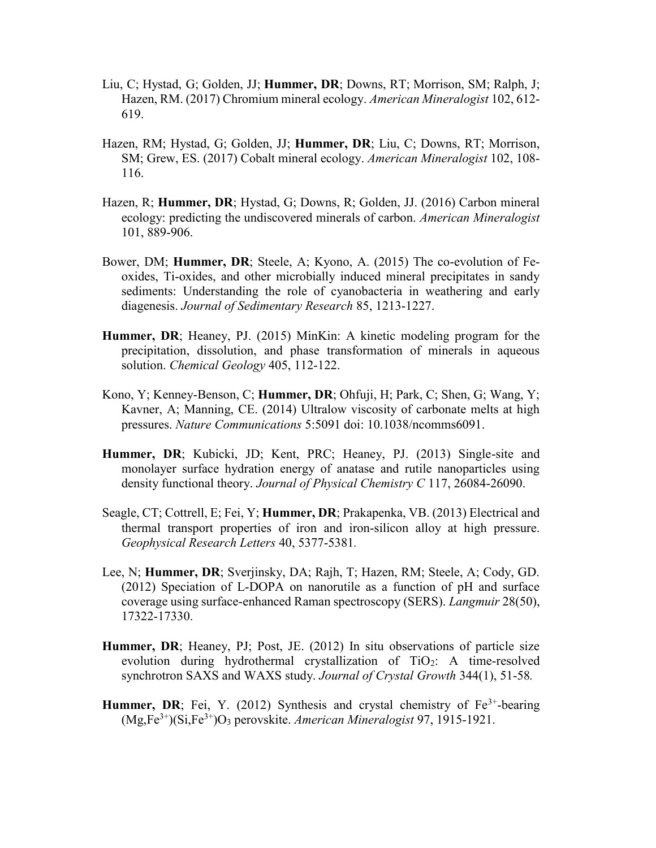- Liu, C; Hystad, G; Golden, JJ; **Hummer, DR**; Downs, RT; Morrison, SM; Ralph, J; Hazen, RM. (2017) Chromium mineral ecology. *American Mineralogist* 102, 612- 619.
- Hazen, RM; Hystad, G; Golden, JJ; **Hummer, DR**; Liu, C; Downs, RT; Morrison, SM; Grew, ES. (2017) Cobalt mineral ecology. *American Mineralogist* 102, 108- 116.
- Hazen, R; **Hummer, DR**; Hystad, G; Downs, R; Golden, JJ. (2016) Carbon mineral ecology: predicting the undiscovered minerals of carbon. *American Mineralogist* 101, 889-906.
- Bower, DM; **Hummer, DR**; Steele, A; Kyono, A. (2015) The co-evolution of Feoxides, Ti-oxides, and other microbially induced mineral precipitates in sandy sediments: Understanding the role of cyanobacteria in weathering and early diagenesis. *Journal of Sedimentary Research* 85, 1213-1227.
- **Hummer, DR**; Heaney, PJ. (2015) MinKin: A kinetic modeling program for the precipitation, dissolution, and phase transformation of minerals in aqueous solution. *Chemical Geology* 405, 112-122.
- Kono, Y; Kenney-Benson, C; **Hummer, DR**; Ohfuji, H; Park, C; Shen, G; Wang, Y; Kavner, A; Manning, CE. (2014) Ultralow viscosity of carbonate melts at high pressures. *Nature Communications* 5:5091 doi: 10.1038/ncomms6091.
- **Hummer, DR**; Kubicki, JD; Kent, PRC; Heaney, PJ. (2013) Single-site and monolayer surface hydration energy of anatase and rutile nanoparticles using density functional theory. *Journal of Physical Chemistry C* 117, 26084-26090.
- Seagle, CT; Cottrell, E; Fei, Y; **Hummer, DR**; Prakapenka, VB. (2013) Electrical and thermal transport properties of iron and iron-silicon alloy at high pressure. *Geophysical Research Letters* 40, 5377-5381*.*
- Lee, N; **Hummer, DR**; Sverjinsky, DA; Rajh, T; Hazen, RM; Steele, A; Cody, GD. (2012) Speciation of L-DOPA on nanorutile as a function of pH and surface coverage using surface-enhanced Raman spectroscopy (SERS). *Langmuir* 28(50), 17322-17330.
- **Hummer, DR**; Heaney, PJ; Post, JE. (2012) In situ observations of particle size evolution during hydrothermal crystallization of TiO2: A time-resolved synchrotron SAXS and WAXS study. *Journal of Crystal Growth* 344(1), 51-58*.*
- **Hummer, DR**; Fei, Y. (2012) Synthesis and crystal chemistry of  $Fe<sup>3+</sup>$ -bearing (Mg,Fe3+)(Si,Fe3+)O<sup>3</sup> perovskite. *American Mineralogist* 97, 1915-1921.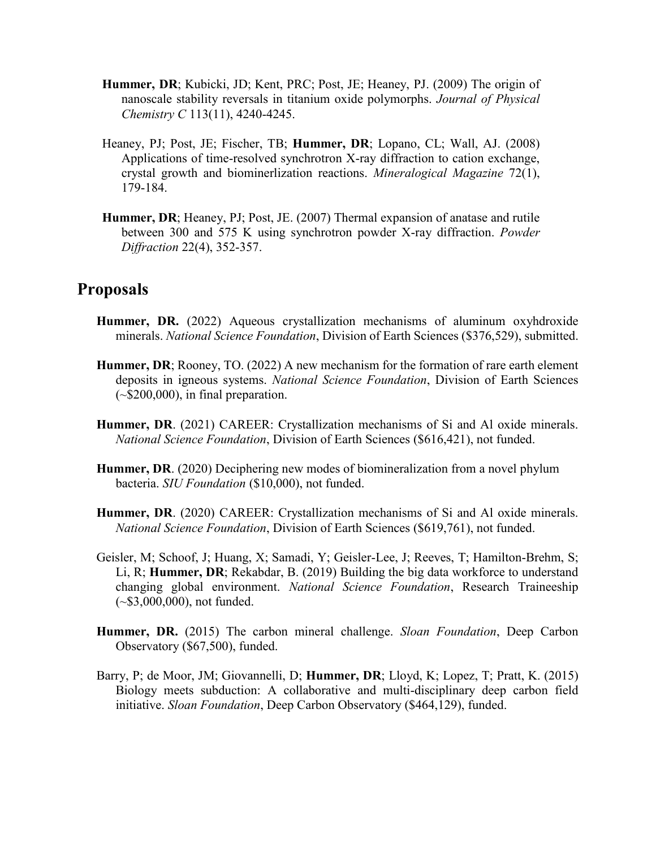- **Hummer, DR**; Kubicki, JD; Kent, PRC; Post, JE; Heaney, PJ. (2009) The origin of nanoscale stability reversals in titanium oxide polymorphs. *Journal of Physical Chemistry C* 113(11), 4240-4245.
- Heaney, PJ; Post, JE; Fischer, TB; **Hummer, DR**; Lopano, CL; Wall, AJ. (2008) Applications of time-resolved synchrotron X-ray diffraction to cation exchange, crystal growth and biominerlization reactions. *Mineralogical Magazine* 72(1), 179-184.
- **Hummer, DR**; Heaney, PJ; Post, JE. (2007) Thermal expansion of anatase and rutile between 300 and 575 K using synchrotron powder X-ray diffraction. *Powder Diffraction* 22(4), 352-357.

## **Proposals**

- **Hummer, DR.** (2022) Aqueous crystallization mechanisms of aluminum oxyhdroxide minerals. *National Science Foundation*, Division of Earth Sciences (\$376,529), submitted.
- **Hummer, DR**; Rooney, TO. (2022) A new mechanism for the formation of rare earth element deposits in igneous systems. *National Science Foundation*, Division of Earth Sciences  $(-\$200,000)$ , in final preparation.
- **Hummer, DR**. (2021) CAREER: Crystallization mechanisms of Si and Al oxide minerals. *National Science Foundation*, Division of Earth Sciences (\$616,421), not funded.
- **Hummer, DR**. (2020) Deciphering new modes of biomineralization from a novel phylum bacteria. *SIU Foundation* (\$10,000), not funded.
- **Hummer, DR**. (2020) CAREER: Crystallization mechanisms of Si and Al oxide minerals. *National Science Foundation*, Division of Earth Sciences (\$619,761), not funded.
- Geisler, M; Schoof, J; Huang, X; Samadi, Y; Geisler-Lee, J; Reeves, T; Hamilton-Brehm, S; Li, R; **Hummer, DR**; Rekabdar, B. (2019) Building the big data workforce to understand changing global environment. *National Science Foundation*, Research Traineeship (~\$3,000,000), not funded.
- **Hummer, DR.** (2015) The carbon mineral challenge. *Sloan Foundation*, Deep Carbon Observatory (\$67,500), funded.
- Barry, P; de Moor, JM; Giovannelli, D; **Hummer, DR**; Lloyd, K; Lopez, T; Pratt, K. (2015) Biology meets subduction: A collaborative and multi-disciplinary deep carbon field initiative. *Sloan Foundation*, Deep Carbon Observatory (\$464,129), funded.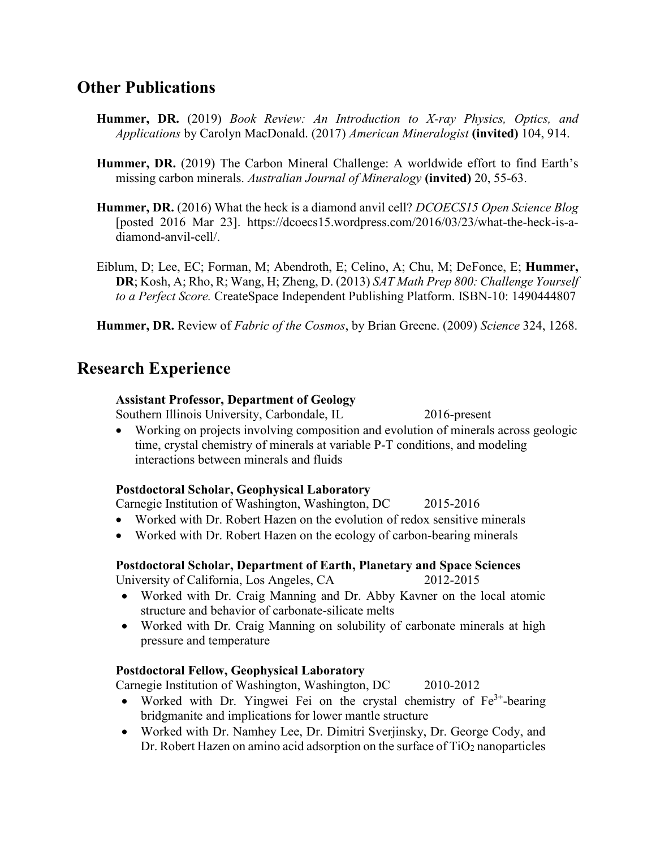# **Other Publications**

- **Hummer, DR.** (2019) *Book Review: An Introduction to X-ray Physics, Optics, and Applications* by Carolyn MacDonald. (2017) *American Mineralogist* **(invited)** 104, 914.
- **Hummer, DR.** (2019) The Carbon Mineral Challenge: A worldwide effort to find Earth's missing carbon minerals. *Australian Journal of Mineralogy* **(invited)** 20, 55-63.
- **Hummer, DR.** (2016) What the heck is a diamond anvil cell? *DCOECS15 Open Science Blog* [posted 2016 Mar 23]. https://dcoecs15.wordpress.com/2016/03/23/what-the-heck-is-adiamond-anvil-cell/.
- Eiblum, D; Lee, EC; Forman, M; Abendroth, E; Celino, A; Chu, M; DeFonce, E; **Hummer, DR**; Kosh, A; Rho, R; Wang, H; Zheng, D. (2013) *SAT Math Prep 800: Challenge Yourself to a Perfect Score.* CreateSpace Independent Publishing Platform. ISBN-10: 1490444807

**Hummer, DR.** Review of *Fabric of the Cosmos*, by Brian Greene. (2009) *Science* 324, 1268.

# **Research Experience**

### **Assistant Professor, Department of Geology**

Southern Illinois University, Carbondale, IL 2016-present

 Working on projects involving composition and evolution of minerals across geologic time, crystal chemistry of minerals at variable P-T conditions, and modeling interactions between minerals and fluids

#### **Postdoctoral Scholar, Geophysical Laboratory**

Carnegie Institution of Washington, Washington, DC 2015-2016

- Worked with Dr. Robert Hazen on the evolution of redox sensitive minerals
- Worked with Dr. Robert Hazen on the ecology of carbon-bearing minerals

## **Postdoctoral Scholar, Department of Earth, Planetary and Space Sciences**

University of California, Los Angeles, CA 2012-2015

- Worked with Dr. Craig Manning and Dr. Abby Kavner on the local atomic structure and behavior of carbonate-silicate melts
- Worked with Dr. Craig Manning on solubility of carbonate minerals at high pressure and temperature

## **Postdoctoral Fellow, Geophysical Laboratory**

Carnegie Institution of Washington, Washington, DC 2010-2012

- Worked with Dr. Yingwei Fei on the crystal chemistry of  $Fe<sup>3+</sup>$ -bearing bridgmanite and implications for lower mantle structure
- Worked with Dr. Namhey Lee, Dr. Dimitri Sverjinsky, Dr. George Cody, and Dr. Robert Hazen on amino acid adsorption on the surface of  $TiO<sub>2</sub>$  nanoparticles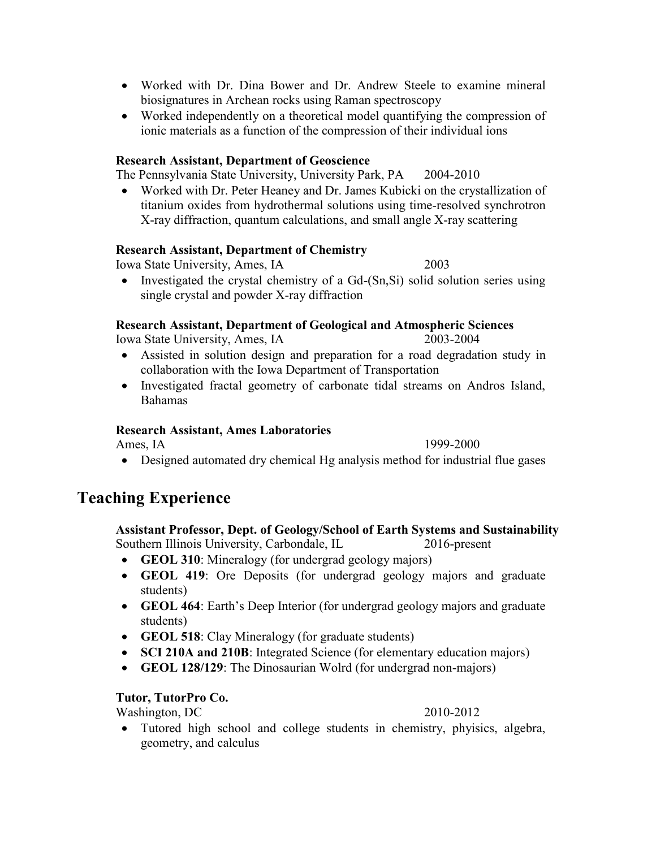- Worked with Dr. Dina Bower and Dr. Andrew Steele to examine mineral biosignatures in Archean rocks using Raman spectroscopy
- Worked independently on a theoretical model quantifying the compression of ionic materials as a function of the compression of their individual ions

#### **Research Assistant, Department of Geoscience**

The Pennsylvania State University, University Park, PA 2004-2010

 Worked with Dr. Peter Heaney and Dr. James Kubicki on the crystallization of titanium oxides from hydrothermal solutions using time-resolved synchrotron X-ray diffraction, quantum calculations, and small angle X-ray scattering

#### **Research Assistant, Department of Chemistry**

Iowa State University, Ames, IA 2003

• Investigated the crystal chemistry of a Gd-(Sn,Si) solid solution series using single crystal and powder X-ray diffraction

#### **Research Assistant, Department of Geological and Atmospheric Sciences**

Iowa State University, Ames, IA 2003-2004

- Assisted in solution design and preparation for a road degradation study in collaboration with the Iowa Department of Transportation
- Investigated fractal geometry of carbonate tidal streams on Andros Island, Bahamas

#### **Research Assistant, Ames Laboratories**

Ames, IA 1999-2000

Designed automated dry chemical Hg analysis method for industrial flue gases

# **Teaching Experience**

#### **Assistant Professor, Dept. of Geology/School of Earth Systems and Sustainability** Southern Illinois University, Carbondale, IL 2016-present

- **GEOL 310**: Mineralogy (for undergrad geology majors)
- **GEOL 419**: Ore Deposits (for undergrad geology majors and graduate students)
- **GEOL 464**: Earth's Deep Interior (for undergrad geology majors and graduate students)
- **GEOL 518**: Clay Mineralogy (for graduate students)
- **SCI 210A and 210B**: Integrated Science (for elementary education majors)
- **GEOL 128/129**: The Dinosaurian Wolrd (for undergrad non-majors)

#### **Tutor, TutorPro Co.**

Washington, DC 2010-2012

 Tutored high school and college students in chemistry, phyisics, algebra, geometry, and calculus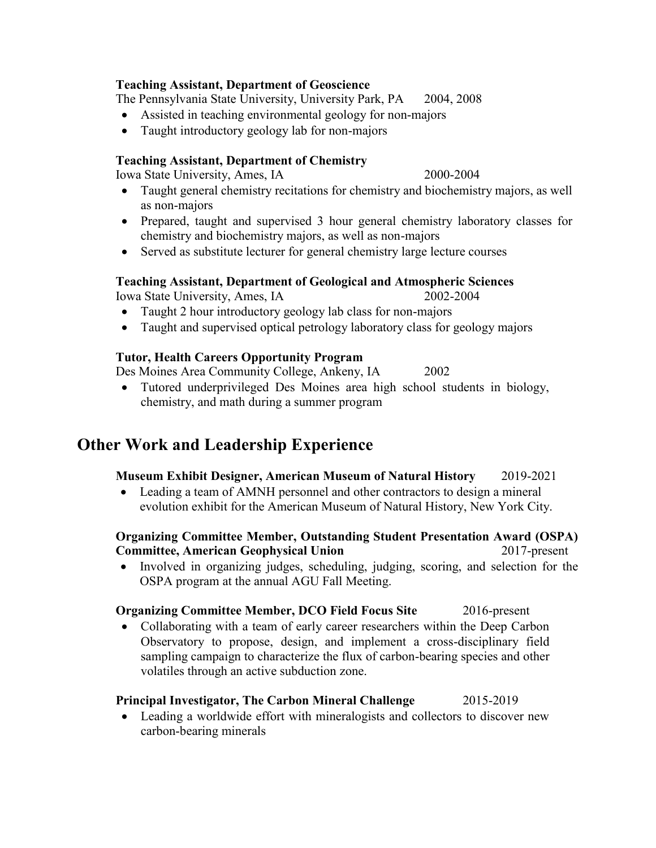### **Teaching Assistant, Department of Geoscience**

The Pennsylvania State University, University Park, PA 2004, 2008

- Assisted in teaching environmental geology for non-majors
- Taught introductory geology lab for non-majors

### **Teaching Assistant, Department of Chemistry**

Iowa State University, Ames, IA 2000-2004

- Taught general chemistry recitations for chemistry and biochemistry majors, as well as non-majors
- Prepared, taught and supervised 3 hour general chemistry laboratory classes for chemistry and biochemistry majors, as well as non-majors
- Served as substitute lecturer for general chemistry large lecture courses

#### **Teaching Assistant, Department of Geological and Atmospheric Sciences** Iowa State University, Ames, IA 2002-2004

- Taught 2 hour introductory geology lab class for non-majors
- Taught and supervised optical petrology laboratory class for geology majors

## **Tutor, Health Careers Opportunity Program**

Des Moines Area Community College, Ankeny, IA 2002

 Tutored underprivileged Des Moines area high school students in biology, chemistry, and math during a summer program

# **Other Work and Leadership Experience**

## **Museum Exhibit Designer, American Museum of Natural History** 2019-2021

 Leading a team of AMNH personnel and other contractors to design a mineral evolution exhibit for the American Museum of Natural History, New York City.

## **Organizing Committee Member, Outstanding Student Presentation Award (OSPA) Committee, American Geophysical Union** 2017-present

 Involved in organizing judges, scheduling, judging, scoring, and selection for the OSPA program at the annual AGU Fall Meeting.

## **Organizing Committee Member, DCO Field Focus Site 2016-present**

• Collaborating with a team of early career researchers within the Deep Carbon Observatory to propose, design, and implement a cross-disciplinary field sampling campaign to characterize the flux of carbon-bearing species and other volatiles through an active subduction zone.

## **Principal Investigator, The Carbon Mineral Challenge** 2015-2019

 Leading a worldwide effort with mineralogists and collectors to discover new carbon-bearing minerals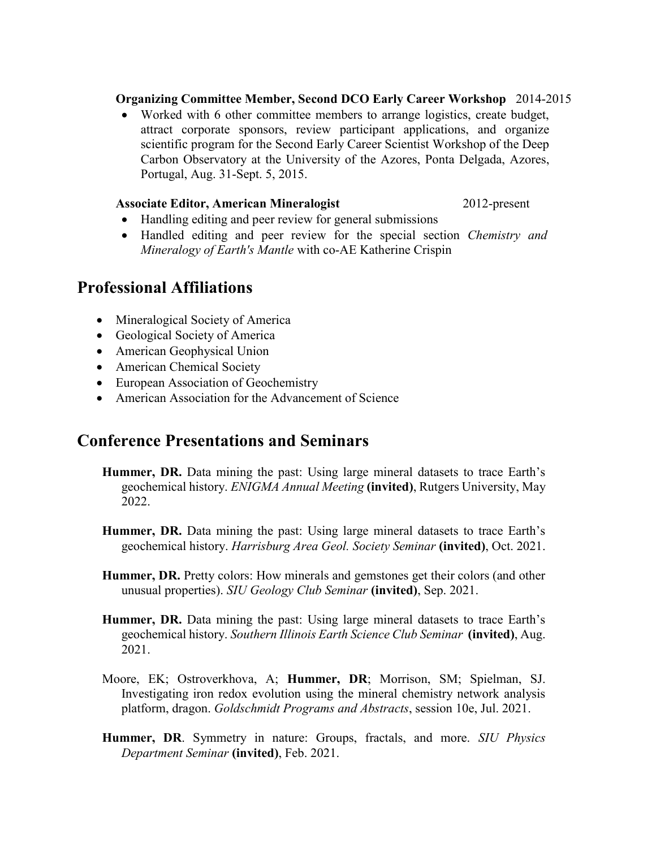### **Organizing Committee Member, Second DCO Early Career Workshop** 2014-2015

 Worked with 6 other committee members to arrange logistics, create budget, attract corporate sponsors, review participant applications, and organize scientific program for the Second Early Career Scientist Workshop of the Deep Carbon Observatory at the University of the Azores, Ponta Delgada, Azores, Portugal, Aug. 31-Sept. 5, 2015.

#### Associate Editor, American Mineralogist 2012-present

- Handling editing and peer review for general submissions
- Handled editing and peer review for the special section *Chemistry and Mineralogy of Earth's Mantle* with co-AE Katherine Crispin

# **Professional Affiliations**

- Mineralogical Society of America
- Geological Society of America
- American Geophysical Union
- American Chemical Society
- European Association of Geochemistry
- American Association for the Advancement of Science

# **Conference Presentations and Seminars**

- **Hummer, DR.** Data mining the past: Using large mineral datasets to trace Earth's geochemical history. *ENIGMA Annual Meeting* **(invited)**, Rutgers University, May 2022.
- **Hummer, DR.** Data mining the past: Using large mineral datasets to trace Earth's geochemical history. *Harrisburg Area Geol. Society Seminar* **(invited)**, Oct. 2021.
- **Hummer, DR.** Pretty colors: How minerals and gemstones get their colors (and other unusual properties). *SIU Geology Club Seminar* **(invited)**, Sep. 2021.
- **Hummer, DR.** Data mining the past: Using large mineral datasets to trace Earth's geochemical history. *Southern Illinois Earth Science Club Seminar* **(invited)**, Aug. 2021.
- Moore, EK; Ostroverkhova, A; **Hummer, DR**; Morrison, SM; Spielman, SJ. Investigating iron redox evolution using the mineral chemistry network analysis platform, dragon. *Goldschmidt Programs and Abstracts*, session 10e, Jul. 2021.
- **Hummer, DR**. Symmetry in nature: Groups, fractals, and more. *SIU Physics Department Seminar* **(invited)**, Feb. 2021.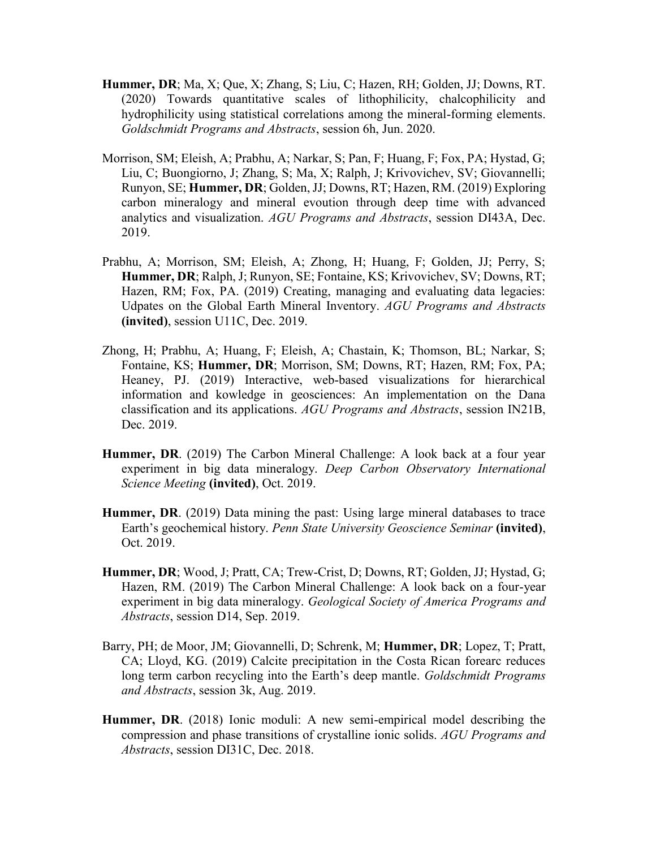- **Hummer, DR**; Ma, X; Que, X; Zhang, S; Liu, C; Hazen, RH; Golden, JJ; Downs, RT. (2020) Towards quantitative scales of lithophilicity, chalcophilicity and hydrophilicity using statistical correlations among the mineral-forming elements. *Goldschmidt Programs and Abstracts*, session 6h, Jun. 2020.
- Morrison, SM; Eleish, A; Prabhu, A; Narkar, S; Pan, F; Huang, F; Fox, PA; Hystad, G; Liu, C; Buongiorno, J; Zhang, S; Ma, X; Ralph, J; Krivovichev, SV; Giovannelli; Runyon, SE; **Hummer, DR**; Golden, JJ; Downs, RT; Hazen, RM. (2019) Exploring carbon mineralogy and mineral evoution through deep time with advanced analytics and visualization. *AGU Programs and Abstracts*, session DI43A, Dec. 2019.
- Prabhu, A; Morrison, SM; Eleish, A; Zhong, H; Huang, F; Golden, JJ; Perry, S; **Hummer, DR**; Ralph, J; Runyon, SE; Fontaine, KS; Krivovichev, SV; Downs, RT; Hazen, RM; Fox, PA. (2019) Creating, managing and evaluating data legacies: Udpates on the Global Earth Mineral Inventory. *AGU Programs and Abstracts* **(invited)**, session U11C, Dec. 2019.
- Zhong, H; Prabhu, A; Huang, F; Eleish, A; Chastain, K; Thomson, BL; Narkar, S; Fontaine, KS; **Hummer, DR**; Morrison, SM; Downs, RT; Hazen, RM; Fox, PA; Heaney, PJ. (2019) Interactive, web-based visualizations for hierarchical information and kowledge in geosciences: An implementation on the Dana classification and its applications. *AGU Programs and Abstracts*, session IN21B, Dec. 2019.
- **Hummer, DR**. (2019) The Carbon Mineral Challenge: A look back at a four year experiment in big data mineralogy. *Deep Carbon Observatory International Science Meeting* **(invited)**, Oct. 2019.
- **Hummer, DR.** (2019) Data mining the past: Using large mineral databases to trace Earth's geochemical history. *Penn State University Geoscience Seminar* **(invited)**, Oct. 2019.
- **Hummer, DR**; Wood, J; Pratt, CA; Trew-Crist, D; Downs, RT; Golden, JJ; Hystad, G; Hazen, RM. (2019) The Carbon Mineral Challenge: A look back on a four-year experiment in big data mineralogy. *Geological Society of America Programs and Abstracts*, session D14, Sep. 2019.
- Barry, PH; de Moor, JM; Giovannelli, D; Schrenk, M; **Hummer, DR**; Lopez, T; Pratt, CA; Lloyd, KG. (2019) Calcite precipitation in the Costa Rican forearc reduces long term carbon recycling into the Earth's deep mantle. *Goldschmidt Programs and Abstracts*, session 3k, Aug. 2019.
- **Hummer, DR**. (2018) Ionic moduli: A new semi-empirical model describing the compression and phase transitions of crystalline ionic solids. *AGU Programs and Abstracts*, session DI31C, Dec. 2018.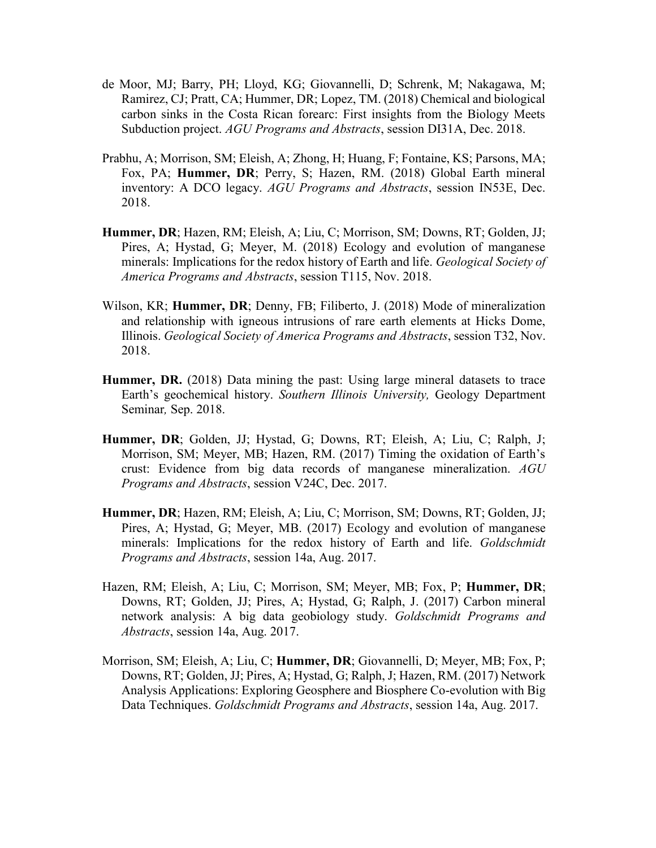- de Moor, MJ; Barry, PH; Lloyd, KG; Giovannelli, D; Schrenk, M; Nakagawa, M; Ramirez, CJ; Pratt, CA; Hummer, DR; Lopez, TM. (2018) Chemical and biological carbon sinks in the Costa Rican forearc: First insights from the Biology Meets Subduction project. *AGU Programs and Abstracts*, session DI31A, Dec. 2018.
- Prabhu, A; Morrison, SM; Eleish, A; Zhong, H; Huang, F; Fontaine, KS; Parsons, MA; Fox, PA; **Hummer, DR**; Perry, S; Hazen, RM. (2018) Global Earth mineral inventory: A DCO legacy. *AGU Programs and Abstracts*, session IN53E, Dec. 2018.
- **Hummer, DR**; Hazen, RM; Eleish, A; Liu, C; Morrison, SM; Downs, RT; Golden, JJ; Pires, A; Hystad, G; Meyer, M. (2018) Ecology and evolution of manganese minerals: Implications for the redox history of Earth and life. *Geological Society of America Programs and Abstracts*, session T115, Nov. 2018.
- Wilson, KR; **Hummer, DR**; Denny, FB; Filiberto, J. (2018) Mode of mineralization and relationship with igneous intrusions of rare earth elements at Hicks Dome, Illinois. *Geological Society of America Programs and Abstracts*, session T32, Nov. 2018.
- **Hummer, DR.** (2018) Data mining the past: Using large mineral datasets to trace Earth's geochemical history. *Southern Illinois University,* Geology Department Seminar*,* Sep. 2018.
- **Hummer, DR**; Golden, JJ; Hystad, G; Downs, RT; Eleish, A; Liu, C; Ralph, J; Morrison, SM; Meyer, MB; Hazen, RM. (2017) Timing the oxidation of Earth's crust: Evidence from big data records of manganese mineralization. *AGU Programs and Abstracts*, session V24C, Dec. 2017.
- **Hummer, DR**; Hazen, RM; Eleish, A; Liu, C; Morrison, SM; Downs, RT; Golden, JJ; Pires, A; Hystad, G; Meyer, MB. (2017) Ecology and evolution of manganese minerals: Implications for the redox history of Earth and life. *Goldschmidt Programs and Abstracts*, session 14a, Aug. 2017.
- Hazen, RM; Eleish, A; Liu, C; Morrison, SM; Meyer, MB; Fox, P; **Hummer, DR**; Downs, RT; Golden, JJ; Pires, A; Hystad, G; Ralph, J. (2017) Carbon mineral network analysis: A big data geobiology study. *Goldschmidt Programs and Abstracts*, session 14a, Aug. 2017.
- Morrison, SM; Eleish, A; Liu, C; **Hummer, DR**; Giovannelli, D; Meyer, MB; Fox, P; Downs, RT; Golden, JJ; Pires, A; Hystad, G; Ralph, J; Hazen, RM. (2017) Network Analysis Applications: Exploring Geosphere and Biosphere Co-evolution with Big Data Techniques. *Goldschmidt Programs and Abstracts*, session 14a, Aug. 2017.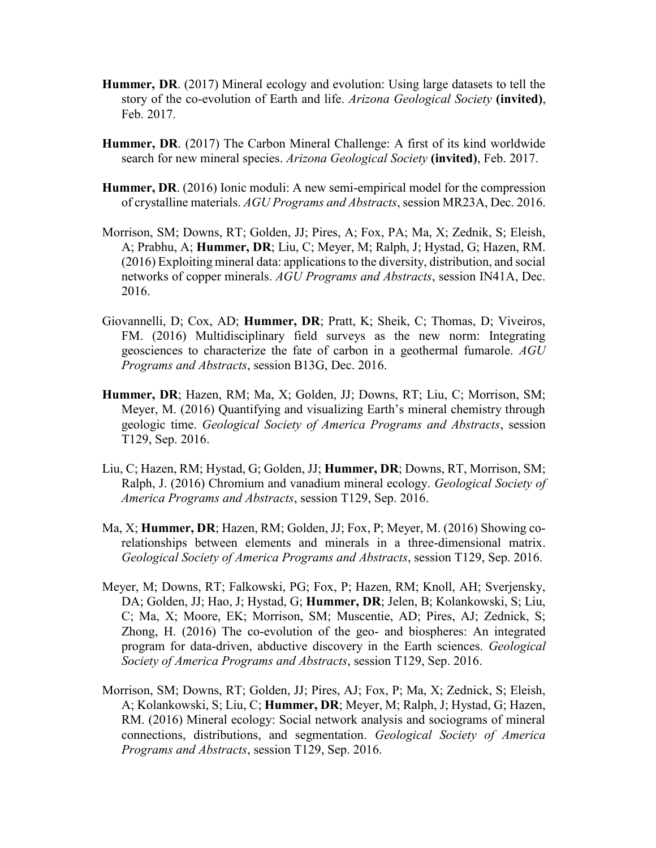- **Hummer, DR**. (2017) Mineral ecology and evolution: Using large datasets to tell the story of the co-evolution of Earth and life. *Arizona Geological Society* **(invited)**, Feb. 2017.
- **Hummer, DR**. (2017) The Carbon Mineral Challenge: A first of its kind worldwide search for new mineral species. *Arizona Geological Society* **(invited)**, Feb. 2017.
- **Hummer, DR**. (2016) Ionic moduli: A new semi-empirical model for the compression of crystalline materials. *AGU Programs and Abstracts*, session MR23A, Dec. 2016.
- Morrison, SM; Downs, RT; Golden, JJ; Pires, A; Fox, PA; Ma, X; Zednik, S; Eleish, A; Prabhu, A; **Hummer, DR**; Liu, C; Meyer, M; Ralph, J; Hystad, G; Hazen, RM. (2016) Exploiting mineral data: applications to the diversity, distribution, and social networks of copper minerals. *AGU Programs and Abstracts*, session IN41A, Dec. 2016.
- Giovannelli, D; Cox, AD; **Hummer, DR**; Pratt, K; Sheik, C; Thomas, D; Viveiros, FM. (2016) Multidisciplinary field surveys as the new norm: Integrating geosciences to characterize the fate of carbon in a geothermal fumarole. *AGU Programs and Abstracts*, session B13G, Dec. 2016.
- **Hummer, DR**; Hazen, RM; Ma, X; Golden, JJ; Downs, RT; Liu, C; Morrison, SM; Meyer, M. (2016) Quantifying and visualizing Earth's mineral chemistry through geologic time. *Geological Society of America Programs and Abstracts*, session T129, Sep. 2016.
- Liu, C; Hazen, RM; Hystad, G; Golden, JJ; **Hummer, DR**; Downs, RT, Morrison, SM; Ralph, J. (2016) Chromium and vanadium mineral ecology. *Geological Society of America Programs and Abstracts*, session T129, Sep. 2016.
- Ma, X; **Hummer, DR**; Hazen, RM; Golden, JJ; Fox, P; Meyer, M. (2016) Showing corelationships between elements and minerals in a three-dimensional matrix. *Geological Society of America Programs and Abstracts*, session T129, Sep. 2016.
- Meyer, M; Downs, RT; Falkowski, PG; Fox, P; Hazen, RM; Knoll, AH; Sverjensky, DA; Golden, JJ; Hao, J; Hystad, G; **Hummer, DR**; Jelen, B; Kolankowski, S; Liu, C; Ma, X; Moore, EK; Morrison, SM; Muscentie, AD; Pires, AJ; Zednick, S; Zhong, H. (2016) The co-evolution of the geo- and biospheres: An integrated program for data-driven, abductive discovery in the Earth sciences. *Geological Society of America Programs and Abstracts*, session T129, Sep. 2016.
- Morrison, SM; Downs, RT; Golden, JJ; Pires, AJ; Fox, P; Ma, X; Zednick, S; Eleish, A; Kolankowski, S; Liu, C; **Hummer, DR**; Meyer, M; Ralph, J; Hystad, G; Hazen, RM. (2016) Mineral ecology: Social network analysis and sociograms of mineral connections, distributions, and segmentation. *Geological Society of America Programs and Abstracts*, session T129, Sep. 2016.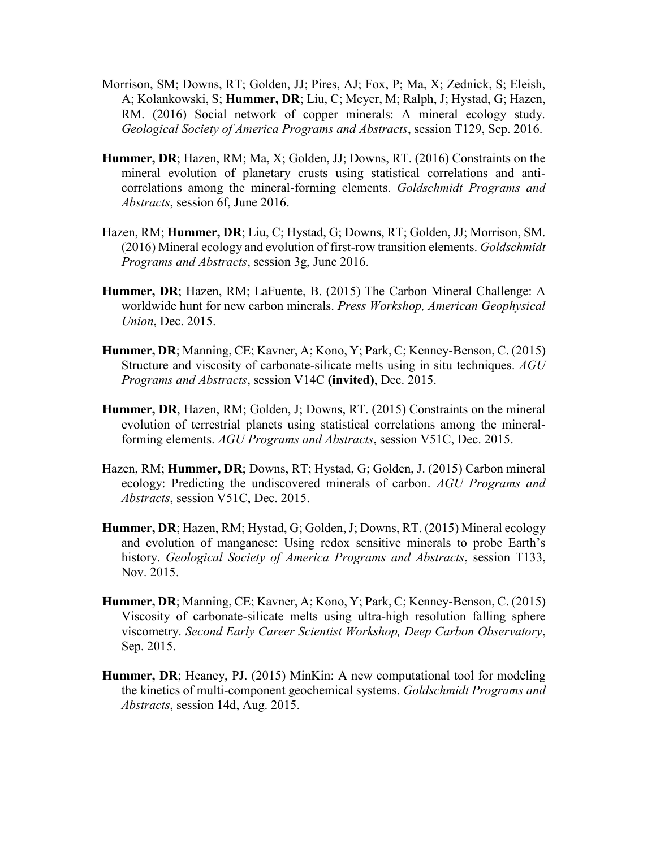- Morrison, SM; Downs, RT; Golden, JJ; Pires, AJ; Fox, P; Ma, X; Zednick, S; Eleish, A; Kolankowski, S; **Hummer, DR**; Liu, C; Meyer, M; Ralph, J; Hystad, G; Hazen, RM. (2016) Social network of copper minerals: A mineral ecology study. *Geological Society of America Programs and Abstracts*, session T129, Sep. 2016.
- **Hummer, DR**; Hazen, RM; Ma, X; Golden, JJ; Downs, RT. (2016) Constraints on the mineral evolution of planetary crusts using statistical correlations and anticorrelations among the mineral-forming elements. *Goldschmidt Programs and Abstracts*, session 6f, June 2016.
- Hazen, RM; **Hummer, DR**; Liu, C; Hystad, G; Downs, RT; Golden, JJ; Morrison, SM. (2016) Mineral ecology and evolution of first-row transition elements. *Goldschmidt Programs and Abstracts*, session 3g, June 2016.
- **Hummer, DR**; Hazen, RM; LaFuente, B. (2015) The Carbon Mineral Challenge: A worldwide hunt for new carbon minerals. *Press Workshop, American Geophysical Union*, Dec. 2015.
- **Hummer, DR**; Manning, CE; Kavner, A; Kono, Y; Park, C; Kenney-Benson, C. (2015) Structure and viscosity of carbonate-silicate melts using in situ techniques. *AGU Programs and Abstracts*, session V14C **(invited)**, Dec. 2015.
- **Hummer, DR**, Hazen, RM; Golden, J; Downs, RT. (2015) Constraints on the mineral evolution of terrestrial planets using statistical correlations among the mineralforming elements. *AGU Programs and Abstracts*, session V51C, Dec. 2015.
- Hazen, RM; **Hummer, DR**; Downs, RT; Hystad, G; Golden, J. (2015) Carbon mineral ecology: Predicting the undiscovered minerals of carbon. *AGU Programs and Abstracts*, session V51C, Dec. 2015.
- **Hummer, DR**; Hazen, RM; Hystad, G; Golden, J; Downs, RT. (2015) Mineral ecology and evolution of manganese: Using redox sensitive minerals to probe Earth's history. *Geological Society of America Programs and Abstracts*, session T133, Nov. 2015.
- **Hummer, DR**; Manning, CE; Kavner, A; Kono, Y; Park, C; Kenney-Benson, C. (2015) Viscosity of carbonate-silicate melts using ultra-high resolution falling sphere viscometry. *Second Early Career Scientist Workshop, Deep Carbon Observatory*, Sep. 2015.
- **Hummer, DR**; Heaney, PJ. (2015) MinKin: A new computational tool for modeling the kinetics of multi-component geochemical systems. *Goldschmidt Programs and Abstracts*, session 14d, Aug. 2015.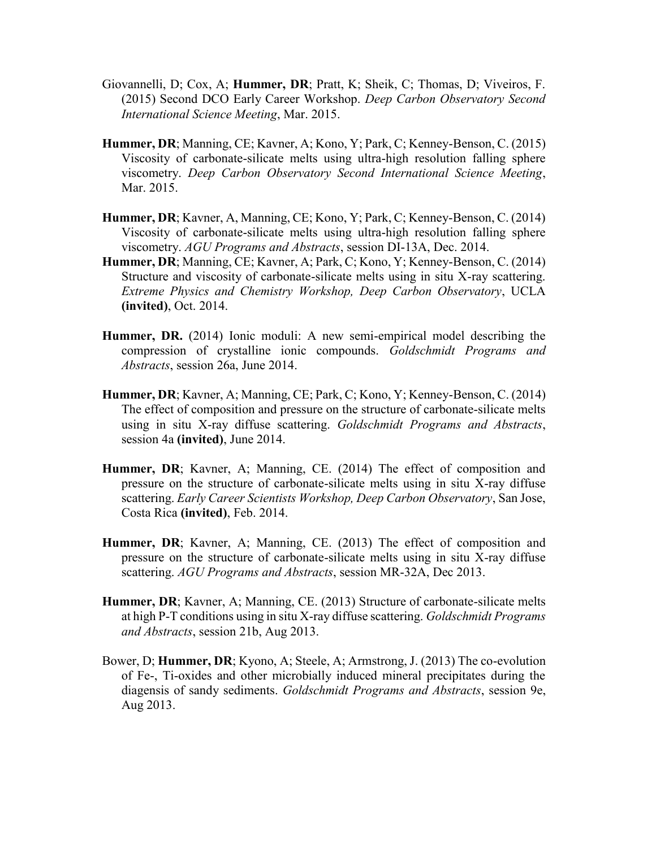- Giovannelli, D; Cox, A; **Hummer, DR**; Pratt, K; Sheik, C; Thomas, D; Viveiros, F. (2015) Second DCO Early Career Workshop. *Deep Carbon Observatory Second International Science Meeting*, Mar. 2015.
- **Hummer, DR**; Manning, CE; Kavner, A; Kono, Y; Park, C; Kenney-Benson, C. (2015) Viscosity of carbonate-silicate melts using ultra-high resolution falling sphere viscometry. *Deep Carbon Observatory Second International Science Meeting*, Mar. 2015.
- **Hummer, DR**; Kavner, A, Manning, CE; Kono, Y; Park, C; Kenney-Benson, C. (2014) Viscosity of carbonate-silicate melts using ultra-high resolution falling sphere viscometry. *AGU Programs and Abstracts*, session DI-13A, Dec. 2014.
- **Hummer, DR**; Manning, CE; Kavner, A; Park, C; Kono, Y; Kenney-Benson, C. (2014) Structure and viscosity of carbonate-silicate melts using in situ X-ray scattering. *Extreme Physics and Chemistry Workshop, Deep Carbon Observatory*, UCLA **(invited)**, Oct. 2014.
- **Hummer, DR.** (2014) Ionic moduli: A new semi-empirical model describing the compression of crystalline ionic compounds. *Goldschmidt Programs and Abstracts*, session 26a, June 2014.
- **Hummer, DR**; Kavner, A; Manning, CE; Park, C; Kono, Y; Kenney-Benson, C. (2014) The effect of composition and pressure on the structure of carbonate-silicate melts using in situ X-ray diffuse scattering. *Goldschmidt Programs and Abstracts*, session 4a **(invited)**, June 2014.
- **Hummer, DR**; Kavner, A; Manning, CE. (2014) The effect of composition and pressure on the structure of carbonate-silicate melts using in situ X-ray diffuse scattering. *Early Career Scientists Workshop, Deep Carbon Observatory*, San Jose, Costa Rica **(invited)**, Feb. 2014.
- **Hummer, DR**; Kavner, A; Manning, CE. (2013) The effect of composition and pressure on the structure of carbonate-silicate melts using in situ X-ray diffuse scattering. *AGU Programs and Abstracts*, session MR-32A, Dec 2013.
- **Hummer, DR**; Kavner, A; Manning, CE. (2013) Structure of carbonate-silicate melts at high P-T conditions using in situ X-ray diffuse scattering. *Goldschmidt Programs and Abstracts*, session 21b, Aug 2013.
- Bower, D; **Hummer, DR**; Kyono, A; Steele, A; Armstrong, J. (2013) The co-evolution of Fe-, Ti-oxides and other microbially induced mineral precipitates during the diagensis of sandy sediments. *Goldschmidt Programs and Abstracts*, session 9e, Aug 2013.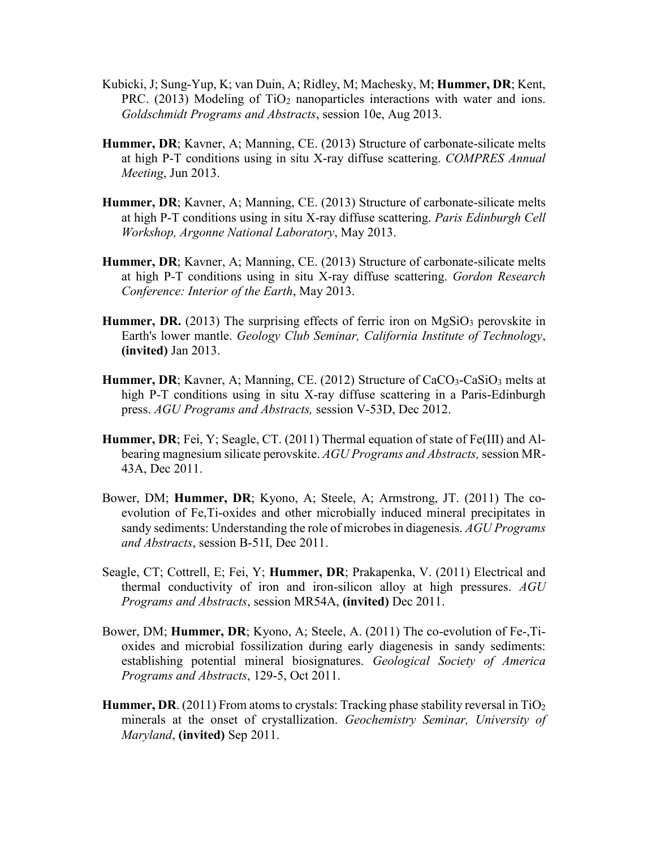- Kubicki, J; Sung-Yup, K; van Duin, A; Ridley, M; Machesky, M; **Hummer, DR**; Kent, PRC. (2013) Modeling of TiO<sup>2</sup> nanoparticles interactions with water and ions. *Goldschmidt Programs and Abstracts*, session 10e, Aug 2013.
- **Hummer, DR**; Kavner, A; Manning, CE. (2013) Structure of carbonate-silicate melts at high P-T conditions using in situ X-ray diffuse scattering. *COMPRES Annual Meeting*, Jun 2013.
- **Hummer, DR**; Kavner, A; Manning, CE. (2013) Structure of carbonate-silicate melts at high P-T conditions using in situ X-ray diffuse scattering. *Paris Edinburgh Cell Workshop, Argonne National Laboratory*, May 2013.
- **Hummer, DR**; Kavner, A; Manning, CE. (2013) Structure of carbonate-silicate melts at high P-T conditions using in situ X-ray diffuse scattering. *Gordon Research Conference: Interior of the Earth*, May 2013.
- **Hummer, DR.** (2013) The surprising effects of ferric iron on  $MgSiO<sub>3</sub>$  perovskite in Earth's lower mantle. *Geology Club Seminar, California Institute of Technology*, **(invited)** Jan 2013.
- **Hummer, DR**; Kavner, A; Manning, CE. (2012) Structure of CaCO<sub>3</sub>-CaSiO<sub>3</sub> melts at high P-T conditions using in situ X-ray diffuse scattering in a Paris-Edinburgh press. *AGU Programs and Abstracts,* session V-53D, Dec 2012.
- **Hummer, DR**; Fei, Y; Seagle, CT. (2011) Thermal equation of state of Fe(III) and Albearing magnesium silicate perovskite. *AGU Programs and Abstracts,* session MR-43A, Dec 2011.
- Bower, DM; **Hummer, DR**; Kyono, A; Steele, A; Armstrong, JT. (2011) The coevolution of Fe,Ti-oxides and other microbially induced mineral precipitates in sandy sediments: Understanding the role of microbes in diagenesis. *AGU Programs and Abstracts*, session B-51I, Dec 2011.
- Seagle, CT; Cottrell, E; Fei, Y; **Hummer, DR**; Prakapenka, V. (2011) Electrical and thermal conductivity of iron and iron-silicon alloy at high pressures. *AGU Programs and Abstracts*, session MR54A, **(invited)** Dec 2011.
- Bower, DM; **Hummer, DR**; Kyono, A; Steele, A. (2011) The co-evolution of Fe-,Tioxides and microbial fossilization during early diagenesis in sandy sediments: establishing potential mineral biosignatures. *Geological Society of America Programs and Abstracts*, 129-5, Oct 2011.
- **Hummer, DR**. (2011) From atoms to crystals: Tracking phase stability reversal in TiO<sub>2</sub> minerals at the onset of crystallization. *Geochemistry Seminar, University of Maryland*, **(invited)** Sep 2011.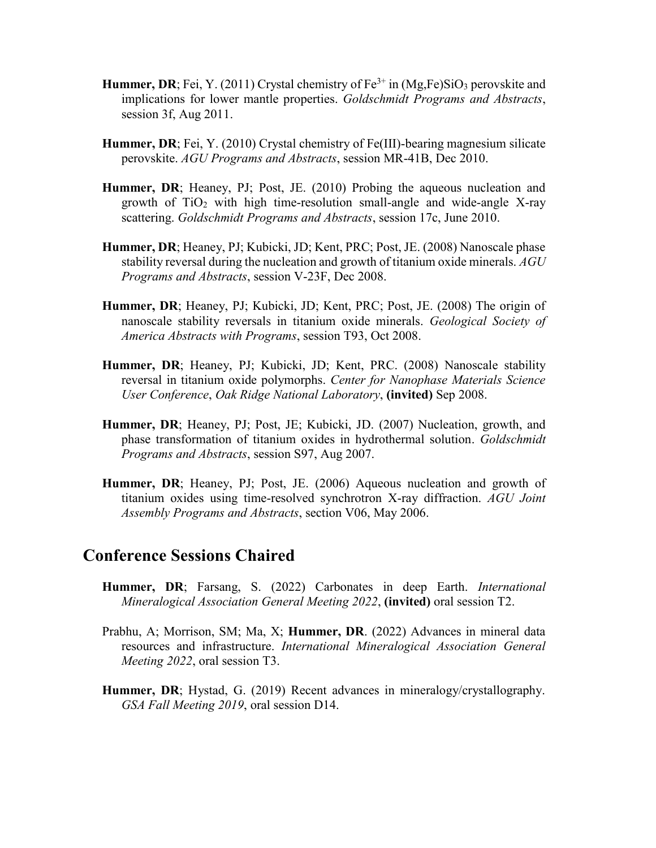- **Hummer, DR**; Fei, Y. (2011) Crystal chemistry of  $Fe^{3+}$  in  $(Mg,Fe)SiO_3$  perovskite and implications for lower mantle properties. *Goldschmidt Programs and Abstracts*, session 3f, Aug 2011.
- **Hummer, DR**; Fei, Y. (2010) Crystal chemistry of Fe(III)-bearing magnesium silicate perovskite. *AGU Programs and Abstracts*, session MR-41B, Dec 2010.
- **Hummer, DR**; Heaney, PJ; Post, JE. (2010) Probing the aqueous nucleation and growth of  $TiO<sub>2</sub>$  with high time-resolution small-angle and wide-angle X-ray scattering. *Goldschmidt Programs and Abstracts*, session 17c, June 2010.
- **Hummer, DR**; Heaney, PJ; Kubicki, JD; Kent, PRC; Post, JE. (2008) Nanoscale phase stability reversal during the nucleation and growth of titanium oxide minerals. *AGU Programs and Abstracts*, session V-23F, Dec 2008.
- **Hummer, DR**; Heaney, PJ; Kubicki, JD; Kent, PRC; Post, JE. (2008) The origin of nanoscale stability reversals in titanium oxide minerals. *Geological Society of America Abstracts with Programs*, session T93, Oct 2008.
- **Hummer, DR**; Heaney, PJ; Kubicki, JD; Kent, PRC. (2008) Nanoscale stability reversal in titanium oxide polymorphs. *Center for Nanophase Materials Science User Conference*, *Oak Ridge National Laboratory*, **(invited)** Sep 2008.
- **Hummer, DR**; Heaney, PJ; Post, JE; Kubicki, JD. (2007) Nucleation, growth, and phase transformation of titanium oxides in hydrothermal solution. *Goldschmidt Programs and Abstracts*, session S97, Aug 2007.
- **Hummer, DR**; Heaney, PJ; Post, JE. (2006) Aqueous nucleation and growth of titanium oxides using time-resolved synchrotron X-ray diffraction. *AGU Joint Assembly Programs and Abstracts*, section V06, May 2006.

## **Conference Sessions Chaired**

- **Hummer, DR**; Farsang, S. (2022) Carbonates in deep Earth. *International Mineralogical Association General Meeting 2022*, **(invited)** oral session T2.
- Prabhu, A; Morrison, SM; Ma, X; **Hummer, DR**. (2022) Advances in mineral data resources and infrastructure. *International Mineralogical Association General Meeting 2022*, oral session T3.
- **Hummer, DR**; Hystad, G. (2019) Recent advances in mineralogy/crystallography. *GSA Fall Meeting 2019*, oral session D14.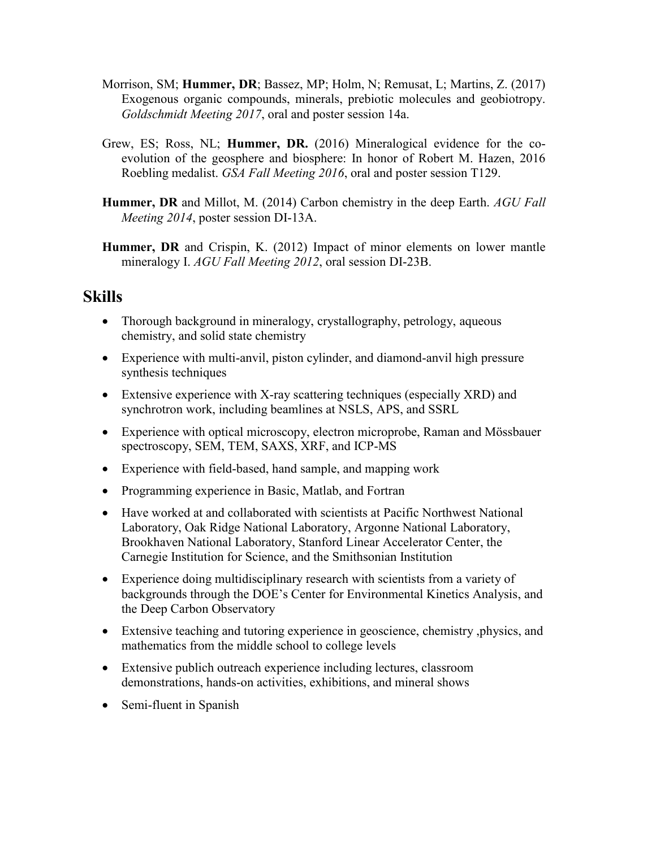- Morrison, SM; **Hummer, DR**; Bassez, MP; Holm, N; Remusat, L; Martins, Z. (2017) Exogenous organic compounds, minerals, prebiotic molecules and geobiotropy. *Goldschmidt Meeting 2017*, oral and poster session 14a.
- Grew, ES; Ross, NL; **Hummer, DR.** (2016) Mineralogical evidence for the coevolution of the geosphere and biosphere: In honor of Robert M. Hazen, 2016 Roebling medalist. *GSA Fall Meeting 2016*, oral and poster session T129.
- **Hummer, DR** and Millot, M. (2014) Carbon chemistry in the deep Earth. *AGU Fall Meeting 2014*, poster session DI-13A.
- **Hummer, DR** and Crispin, K. (2012) Impact of minor elements on lower mantle mineralogy I. *AGU Fall Meeting 2012*, oral session DI-23B.

# **Skills**

- Thorough background in mineralogy, crystallography, petrology, aqueous chemistry, and solid state chemistry
- Experience with multi-anvil, piston cylinder, and diamond-anvil high pressure synthesis techniques
- Extensive experience with X-ray scattering techniques (especially XRD) and synchrotron work, including beamlines at NSLS, APS, and SSRL
- Experience with optical microscopy, electron microprobe, Raman and Mössbauer spectroscopy, SEM, TEM, SAXS, XRF, and ICP-MS
- Experience with field-based, hand sample, and mapping work
- Programming experience in Basic, Matlab, and Fortran
- Have worked at and collaborated with scientists at Pacific Northwest National Laboratory, Oak Ridge National Laboratory, Argonne National Laboratory, Brookhaven National Laboratory, Stanford Linear Accelerator Center, the Carnegie Institution for Science, and the Smithsonian Institution
- Experience doing multidisciplinary research with scientists from a variety of backgrounds through the DOE's Center for Environmental Kinetics Analysis, and the Deep Carbon Observatory
- Extensive teaching and tutoring experience in geoscience, chemistry ,physics, and mathematics from the middle school to college levels
- Extensive publich outreach experience including lectures, classroom demonstrations, hands-on activities, exhibitions, and mineral shows
- Semi-fluent in Spanish